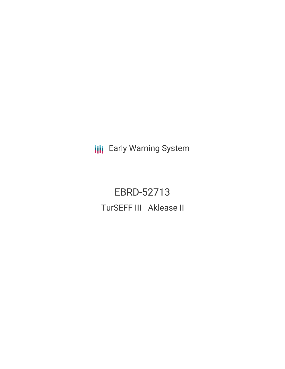**III** Early Warning System

EBRD-52713 TurSEFF III - Aklease II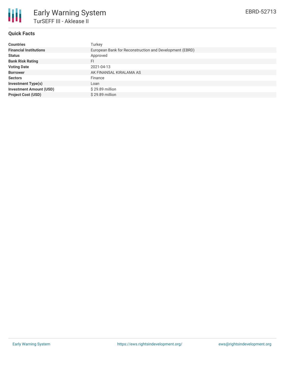

# **Quick Facts**

| <b>Countries</b>               | Turkey                                                  |
|--------------------------------|---------------------------------------------------------|
| <b>Financial Institutions</b>  | European Bank for Reconstruction and Development (EBRD) |
| <b>Status</b>                  | Approved                                                |
| <b>Bank Risk Rating</b>        | FI                                                      |
| <b>Voting Date</b>             | 2021-04-13                                              |
| <b>Borrower</b>                | AK FINANSAL KIRALAMA AS                                 |
| <b>Sectors</b>                 | Finance                                                 |
| <b>Investment Type(s)</b>      | Loan                                                    |
| <b>Investment Amount (USD)</b> | $$29.89$ million                                        |
| <b>Project Cost (USD)</b>      | \$29.89 million                                         |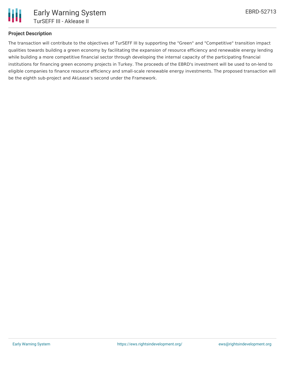

### **Project Description**

The transaction will contribute to the objectives of TurSEFF III by supporting the "Green" and "Competitive" transition impact qualities towards building a green economy by facilitating the expansion of resource efficiency and renewable energy lending while building a more competitive financial sector through developing the internal capacity of the participating financial institutions for financing green economy projects in Turkey. The proceeds of the EBRD's investment will be used to on-lend to eligible companies to finance resource efficiency and small-scale renewable energy investments. The proposed transaction will be the eighth sub-project and AkLease's second under the Framework.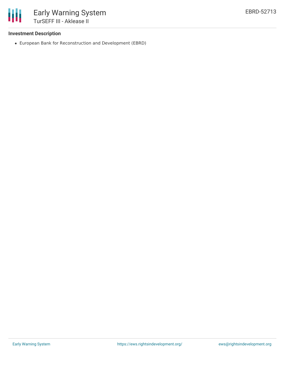

## **Investment Description**

European Bank for Reconstruction and Development (EBRD)